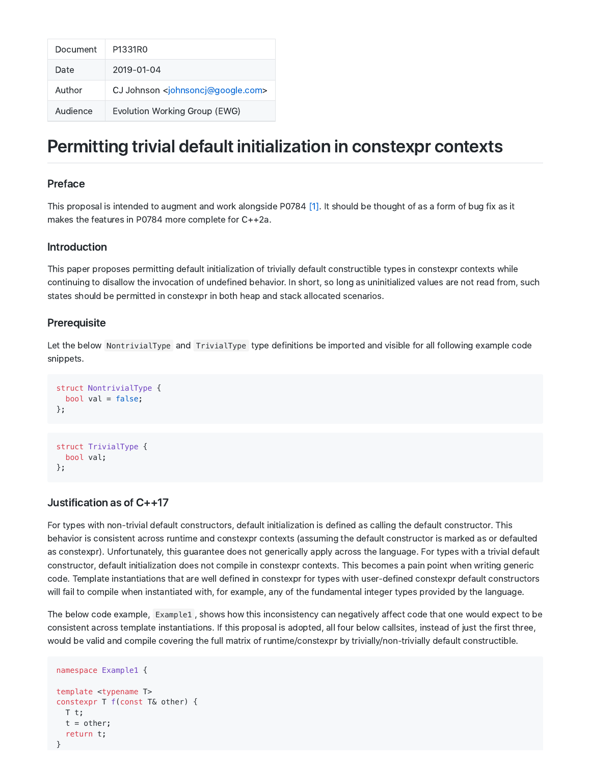| Document | P1331R0                                                  |
|----------|----------------------------------------------------------|
| Date     | 2019-01-04                                               |
| Author   | CJ Johnson <johnsoncj@google.com></johnsoncj@google.com> |
| Audience | Evolution Working Group (EWG)                            |

# Permitting trivial default initialization in constexpr contexts

### Preface

This proposal is intended to augment and work alongside P0784 [1]. It should be thought of as a form of bug fix as it makes the features in P0784 more complete for C++2a.

#### Introduction

This paper proposes permitting default initialization of trivially default constructible types in constexpr contexts while continuing to disallow the invocation of undefined behavior. In short, so long as uninitialized values are not read from, such states should be permitted in constexpr in both heap and stack allocated scenarios.

#### **Prerequisite**

Let the below NontrivialType and TrivialType type definitions be imported and visible for all following example code snippets.

```
struct NontrivialType {
 bool val = false;};
struct TrivialType {
```
bool val;

};

## Justification as of C++17

For types with non-trivial default constructors, default initialization is defined as calling the default constructor. This behavior is consistent across runtime and constexpr contexts (assuming the default constructor is marked as or defaulted as constexpr). Unfortunately, this guarantee does not generically apply across the language. For types with a trivial default constructor, default initialization does not compile in constexpr contexts. This becomes a pain point when writing generic code. Template instantiations that are well defined in constexpr for types with user-defined constexpr default constructors will fail to compile when instantiated with, for example, any of the fundamental integer types provided by the language.

The below code example, Example1 , shows how this inconsistency can negatively affect code that one would expect to be consistent across template instantiations. If this proposal is adopted, all four below callsites, instead of just the first three, would be valid and compile covering the full matrix of runtime/constexpr by trivially/non-trivially default constructible.

```
namespace Example1 {
template <typename T>
constexpr T f(const T& other) {
 T t;
  t = other;return t;
}
```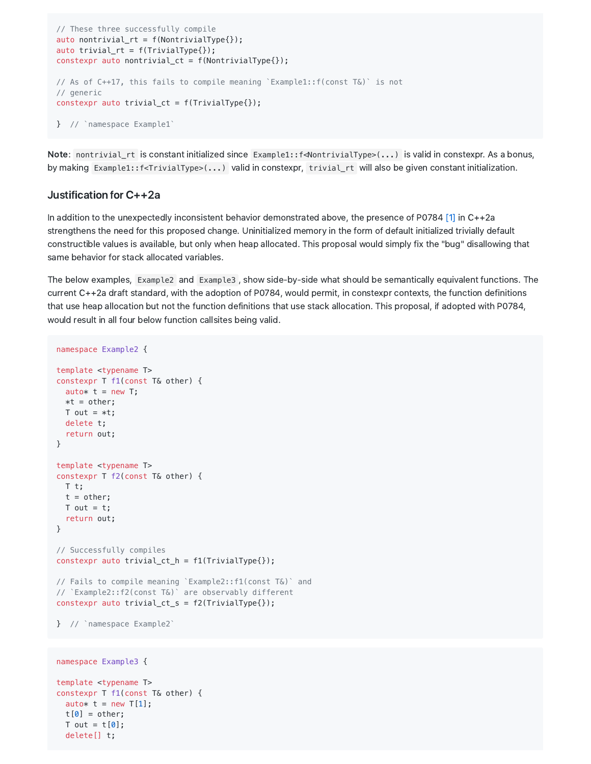```
// These three successfully compile
auto nontrivial_rt = f(NontrivialType{}');
auto trivial_rt = f(TrivialType{}});
constexpr auto nontrivial ct = f(NontrivialType{};
// As of C++17, this fails to compile meaning `Example1::f(const T&)` is not
// generic
constexpr auto trivial_ct = f(TrivialType{});
} // `namespace Example1`
```
Note: nontrivial\_rt is constant initialized since Example1::f<NontrivialType>(...) is valid in constexpr. As a bonus, by making Example1::f<TrivialType>(...) valid in constexpr, trivial\_rt will also be given constant initialization.

#### Justification for C++2a

auto\*  $t = new T[1]$ ;  $t[0] = other;$ T out =  $t[0]$ ; delete[] t;

In addition to the unexpectedly inconsistent behavior demonstrated above, the presence of P0784 [1] in C++2a strengthens the need for this proposed change. Uninitialized memory in the form of default initialized trivially default constructible values is available, but only when heap allocated. This proposal would simply fix the "bug" disallowing that same behavior for stack allocated variables.

The below examples, Example2 and Example3, show side-by-side what should be semantically equivalent functions. The current C++2a draft standard, with the adoption of P0784, would permit, in constexpr contexts, the function definitions that use heap allocation but not the function definitions that use stack allocation. This proposal, if adopted with P0784, would result in all four below function callsites being valid.

```
namespace Example2 {
template <typename T>
constexpr T f1(const T& other) {
 auto* t = new T;
 *t = other;T out = *t;delete t;
 return out;
}
template <typename T>
constexpr T f2(const T& other) {
 T t;
 t = other;T out = t;
  return out;
}
// Successfully compiles
constexpr auto trivial_ct_h = f1(TrivialType{});
// Fails to compile meaning `Example2::f1(const T&)` and
// `Example2::f2(const T&)` are observably different
constexpr auto trivial_ct_s = f2(TrivialType{}};
} // `namespace Example2`
namespace Example3 {
template <typename T>
constexpr T f1(const T& other) {
```